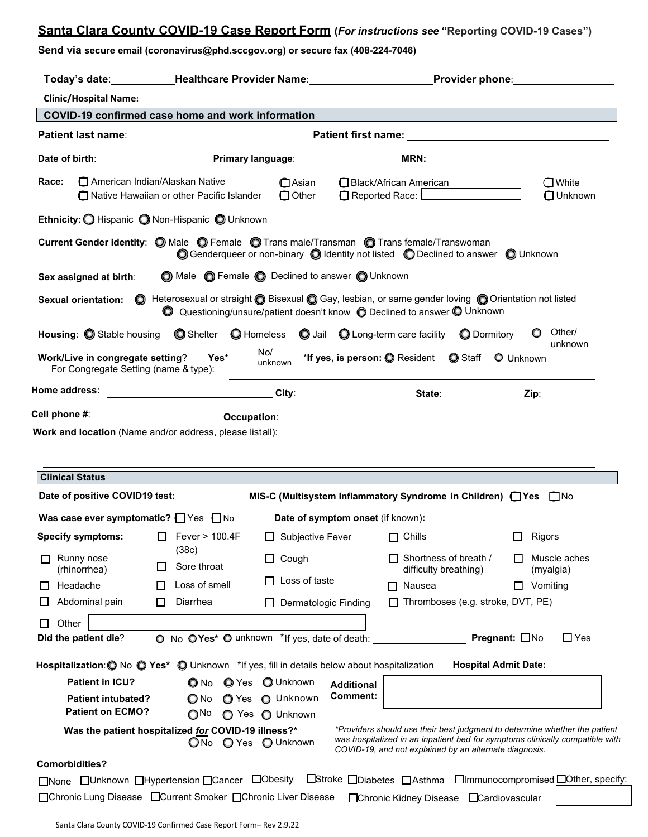## **Santa Clara County COVID-19 Case Report Form (***For instructions see* **"Reporting COVID-19 Cases")**

|  |  |  |  |  |  |  | Send via secure email (coronavirus@phd.sccgov.org) or secure fax (408-224-7046) |
|--|--|--|--|--|--|--|---------------------------------------------------------------------------------|
|--|--|--|--|--|--|--|---------------------------------------------------------------------------------|

| Today's date: The Healthcare Provider Name:                                                                                                                                                                                                                                                      |                                                                                                      |                                      |                   | <b>Provider phone:</b>                                                           |                                                                                                             |  |  |
|--------------------------------------------------------------------------------------------------------------------------------------------------------------------------------------------------------------------------------------------------------------------------------------------------|------------------------------------------------------------------------------------------------------|--------------------------------------|-------------------|----------------------------------------------------------------------------------|-------------------------------------------------------------------------------------------------------------|--|--|
| Clinic/Hospital Name: Name and South Art and South Art and South Art and South Art and South Art and South Art and South Art and South Art and South Art and South Art and South Art and Art and Art and Art and Art and Art a                                                                   |                                                                                                      |                                      |                   |                                                                                  |                                                                                                             |  |  |
| COVID-19 confirmed case home and work information<br><u> 1989 - Johann Stein, marwolaethau a bhann an t-Amhair Aonaichte ann an t-Amhair Aonaichte ann an t-Amhair Aon</u>                                                                                                                       |                                                                                                      |                                      |                   |                                                                                  |                                                                                                             |  |  |
|                                                                                                                                                                                                                                                                                                  |                                                                                                      |                                      |                   |                                                                                  |                                                                                                             |  |  |
| Date of birth: ____________________                                                                                                                                                                                                                                                              |                                                                                                      | Primary language: __________________ |                   |                                                                                  |                                                                                                             |  |  |
| Race:                                                                                                                                                                                                                                                                                            | □ American Indian/Alaskan Native<br>Native Hawaiian or other Pacific Islander                        | $\Box$ Asian<br>$\Box$ Other         |                   | Black/African American<br>Reported Race: National Property Reported Race:        | $\Box$ White<br><b>□</b> Unknown                                                                            |  |  |
| Ethnicity: O Hispanic O Non-Hispanic O Unknown                                                                                                                                                                                                                                                   |                                                                                                      |                                      |                   |                                                                                  |                                                                                                             |  |  |
| <b>Current Gender identity: O</b> Male C Female O Trans male/Transman O Trans female/Transwoman                                                                                                                                                                                                  |                                                                                                      |                                      |                   | ◯ Genderqueer or non-binary ◯ Identity not listed ◯ Declined to answer ◯ Unknown |                                                                                                             |  |  |
| Sex assigned at birth:                                                                                                                                                                                                                                                                           | ◯ Male ◯ Female ◯ Declined to answer ◯ Unknown                                                       |                                      |                   |                                                                                  |                                                                                                             |  |  |
| <b>Sexual orientation:</b>                                                                                                                                                                                                                                                                       | ◯ Heterosexual or straight ◯ Bisexual ◯ Gay, lesbian, or same gender loving ◯ Orientation not listed |                                      |                   | Questioning/unsure/patient doesn't know © Declined to answer © Unknown           |                                                                                                             |  |  |
| <b>Housing:</b> $\bigcirc$ Stable housing $\bigcirc$ Shelter $\bigcirc$ Homeless $\bigcirc$ Jail $\bigcirc$ Long-term care facility $\bigcirc$ Dormitory                                                                                                                                         |                                                                                                      |                                      |                   |                                                                                  | Other/<br>O<br>unknown                                                                                      |  |  |
| Work/Live in congregate setting?<br>For Congregate Setting (name & type):                                                                                                                                                                                                                        | Yes*                                                                                                 | No/<br>unknown                       |                   | *If yes, is person: O Resident O Staff O Unknown                                 |                                                                                                             |  |  |
|                                                                                                                                                                                                                                                                                                  |                                                                                                      |                                      |                   |                                                                                  |                                                                                                             |  |  |
| Cell phone #:                                                                                                                                                                                                                                                                                    |                                                                                                      |                                      |                   |                                                                                  |                                                                                                             |  |  |
| Work and location (Name and/or address, please listall):<br><b>Clinical Status</b>                                                                                                                                                                                                               |                                                                                                      |                                      |                   |                                                                                  |                                                                                                             |  |  |
| Date of positive COVID19 test:                                                                                                                                                                                                                                                                   |                                                                                                      |                                      |                   | MIS-C (Multisystem Inflammatory Syndrome in Children) □ Yes □ No                 |                                                                                                             |  |  |
| <b>Was case ever symptomatic?</b> $\Box$ Yes $\Box$ No                                                                                                                                                                                                                                           |                                                                                                      |                                      |                   | Date of symptom onset (if known):                                                |                                                                                                             |  |  |
| <b>Specify symptoms:</b>                                                                                                                                                                                                                                                                         | $\Box$ Fever > 100.4F                                                                                | $\Box$ Subjective Fever              |                   | $\Box$ Chills                                                                    | $\Box$ Rigors                                                                                               |  |  |
| Runny nose                                                                                                                                                                                                                                                                                       | (38c)<br>Sore throat                                                                                 | Cough                                |                   | $\Box$ Shortness of breath /                                                     | Muscle aches                                                                                                |  |  |
| (rhinorrhea)<br>Headache<br>$\mathbf{I}$                                                                                                                                                                                                                                                         | Loss of smell                                                                                        | Loss of taste                        |                   | difficulty breathing)<br>Nausea                                                  | (myalgia)<br>Vomiting<br>ப                                                                                  |  |  |
| Abdominal pain<br>$\mathsf{L}$                                                                                                                                                                                                                                                                   | Diarrhea                                                                                             | Dermatologic Finding                 |                   | Thromboses (e.g. stroke, DVT, PE)                                                |                                                                                                             |  |  |
| Other<br>ΙI                                                                                                                                                                                                                                                                                      |                                                                                                      |                                      |                   |                                                                                  |                                                                                                             |  |  |
| Did the patient die?                                                                                                                                                                                                                                                                             | ◯ No ◯ Yes* ◯ unknown *If yes, date of death:                                                        |                                      |                   |                                                                                  | $\Box$ Yes<br>Pregnant: □No                                                                                 |  |  |
| <b>Hospital Admit Date:</b><br>Hospitalization: O No O Yes* O Unknown *If yes, fill in details below about hospitalization                                                                                                                                                                       |                                                                                                      |                                      |                   |                                                                                  |                                                                                                             |  |  |
| <b>Patient in ICU?</b>                                                                                                                                                                                                                                                                           | O Yes<br>O No                                                                                        | O Unknown                            | <b>Additional</b> |                                                                                  |                                                                                                             |  |  |
| <b>Patient intubated?</b><br><b>Patient on ECMO?</b>                                                                                                                                                                                                                                             | $\bigcirc$ Yes<br>$\bigcirc$ No<br>$\bigcirc$ No<br>$\bigcirc$ Yes                                   | O Unknown<br>O Unknown               | Comment:          |                                                                                  |                                                                                                             |  |  |
| *Providers should use their best judgment to determine whether the patient<br>Was the patient hospitalized for COVID-19 illness?*<br>was hospitalized in an inpatient bed for symptoms clinically compatible with<br>ONo OYes OUnknown<br>COVID-19, and not explained by an alternate diagnosis. |                                                                                                      |                                      |                   |                                                                                  |                                                                                                             |  |  |
| <b>Comorbidities?</b>                                                                                                                                                                                                                                                                            |                                                                                                      |                                      |                   |                                                                                  |                                                                                                             |  |  |
|                                                                                                                                                                                                                                                                                                  |                                                                                                      |                                      |                   |                                                                                  | □None □Unknown □Hypertension □Cancer □Obesity □Stroke □Diabetes □Asthma □Immunocompromised □Other, specify: |  |  |
| □Chronic Lung Disease □Current Smoker □Chronic Liver Disease                                                                                                                                                                                                                                     |                                                                                                      |                                      |                   | □Chronic Kidney Disease □Cardiovascular                                          |                                                                                                             |  |  |